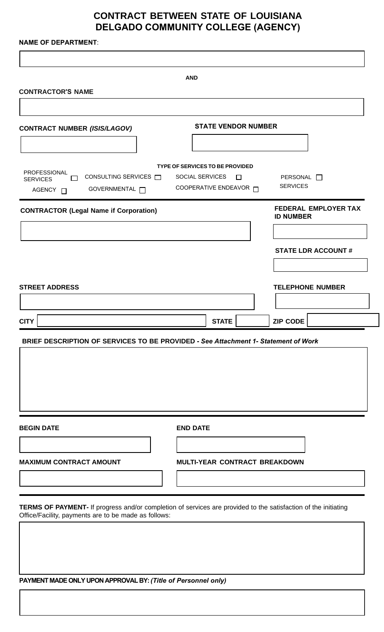# **CONTRACT BETWEEN STATE OF LOUISIANA DELGADO COMMUNITY COLLEGE (AGENCY)**

**NAME OF DEPARTMENT**:

|                                                                                                                                                                        | <b>AND</b>                                         |                                    |        |                                          |                             |
|------------------------------------------------------------------------------------------------------------------------------------------------------------------------|----------------------------------------------------|------------------------------------|--------|------------------------------------------|-----------------------------|
| <b>CONTRACTOR'S NAME</b>                                                                                                                                               |                                                    |                                    |        |                                          |                             |
|                                                                                                                                                                        |                                                    |                                    |        |                                          |                             |
| <b>CONTRACT NUMBER (ISIS/LAGOV)</b>                                                                                                                                    | <b>STATE VENDOR NUMBER</b>                         |                                    |        |                                          |                             |
|                                                                                                                                                                        |                                                    |                                    |        |                                          |                             |
| PROFESSIONAL<br>CONSULTING SERVICES $\Box$<br>П<br><b>SERVICES</b><br>GOVERNMENTAL <b>[</b><br>AGENCY O                                                                | TYPE OF SERVICES TO BE PROVIDED<br>SOCIAL SERVICES | COOPERATIVE ENDEAVOR <sub>[]</sub> | $\Box$ | PERSONAL <sup>1</sup><br><b>SERVICES</b> |                             |
| <b>CONTRACTOR (Legal Name if Corporation)</b>                                                                                                                          |                                                    |                                    |        | <b>ID NUMBER</b>                         | <b>FEDERAL EMPLOYER TAX</b> |
|                                                                                                                                                                        |                                                    |                                    |        |                                          | <b>STATE LDR ACCOUNT#</b>   |
| <b>STREET ADDRESS</b>                                                                                                                                                  |                                                    |                                    |        |                                          | <b>TELEPHONE NUMBER</b>     |
|                                                                                                                                                                        |                                                    |                                    |        |                                          |                             |
|                                                                                                                                                                        |                                                    |                                    |        |                                          |                             |
|                                                                                                                                                                        |                                                    | <b>STATE</b>                       |        | <b>ZIP CODE</b>                          |                             |
|                                                                                                                                                                        |                                                    |                                    |        |                                          |                             |
| <b>CITY</b><br>BRIEF DESCRIPTION OF SERVICES TO BE PROVIDED - See Attachment 1- Statement of Work<br><b>BEGIN DATE</b>                                                 | <b>END DATE</b>                                    |                                    |        |                                          |                             |
| <b>MAXIMUM CONTRACT AMOUNT</b>                                                                                                                                         |                                                    |                                    |        | MULTI-YEAR CONTRACT BREAKDOWN            |                             |
|                                                                                                                                                                        |                                                    |                                    |        |                                          |                             |
| TERMS OF PAYMENT- If progress and/or completion of services are provided to the satisfaction of the initiating<br>Office/Facility, payments are to be made as follows: |                                                    |                                    |        |                                          |                             |

**PAYMENT MADE ONLY UPON APPROVAL BY:** *(Title of Personnel only)*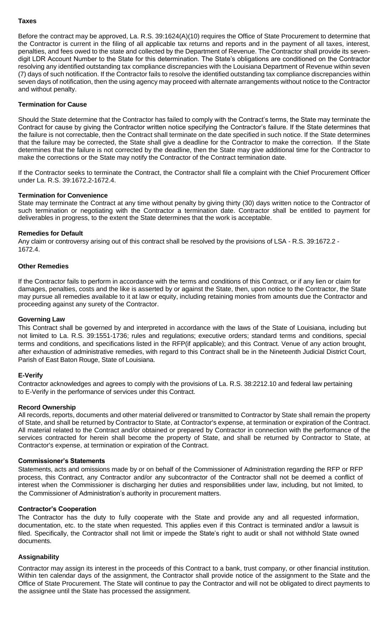#### **Taxes**

Before the contract may be approved, La. R.S. 39:1624(A)(10) requires the Office of State Procurement to determine that the Contractor is current in the filing of all applicable tax returns and reports and in the payment of all taxes, interest, penalties, and fees owed to the state and collected by the Department of Revenue. The Contractor shall provide its sevendigit LDR Account Number to the State for this determination. The State's obligations are conditioned on the Contractor resolving any identified outstanding tax compliance discrepancies with the Louisiana Department of Revenue within seven (7) days of such notification. If the Contractor fails to resolve the identified outstanding tax compliance discrepancies within seven days of notification, then the using agency may proceed with alternate arrangements without notice to the Contractor and without penalty.

## **Termination for Cause**

Should the State determine that the Contractor has failed to comply with the Contract's terms, the State may terminate the Contract for cause by giving the Contractor written notice specifying the Contractor's failure. If the State determines that the failure is not correctable, then the Contract shall terminate on the date specified in such notice. If the State determines that the failure may be corrected, the State shall give a deadline for the Contractor to make the correction. If the State determines that the failure is not corrected by the deadline, then the State may give additional time for the Contractor to make the corrections or the State may notify the Contractor of the Contract termination date.

If the Contractor seeks to terminate the Contract, the Contractor shall file a complaint with the Chief Procurement Officer under La. R.S. 39:1672.2-1672.4.

#### **Termination for Convenience**

State may terminate the Contract at any time without penalty by giving thirty (30) days written notice to the Contractor of such termination or negotiating with the Contractor a termination date. Contractor shall be entitled to payment for deliverables in progress, to the extent the State determines that the work is acceptable.

#### **Remedies for Default**

Any claim or controversy arising out of this contract shall be resolved by the provisions of LSA - R.S. 39:1672.2 - 1672.4.

## **Other Remedies**

If the Contractor fails to perform in accordance with the terms and conditions of this Contract, or if any lien or claim for damages, penalties, costs and the like is asserted by or against the State, then, upon notice to the Contractor, the State may pursue all remedies available to it at law or equity, including retaining monies from amounts due the Contractor and proceeding against any surety of the Contractor.

## **Governing Law**

This Contract shall be governed by and interpreted in accordance with the laws of the State of Louisiana, including but not limited to La. R.S. 39:1551-1736; rules and regulations; executive orders; standard terms and conditions, special terms and conditions, and specifications listed in the RFP(if applicable); and this Contract. Venue of any action brought, after exhaustion of administrative remedies, with regard to this Contract shall be in the Nineteenth Judicial District Court, Parish of East Baton Rouge, State of Louisiana.

## **E-Verify**

Contractor acknowledges and agrees to comply with the provisions of La. R.S. 38:2212.10 and federal law pertaining to E-Verify in the performance of services under this Contract.

#### **Record Ownership**

All records, reports, documents and other material delivered or transmitted to Contractor by State shall remain the property of State, and shall be returned by Contractor to State, at Contractor's expense, at termination or expiration of the Contract. All material related to the Contract and/or obtained or prepared by Contractor in connection with the performance of the services contracted for herein shall become the property of State, and shall be returned by Contractor to State, at Contractor's expense, at termination or expiration of the Contract.

## **Commissioner's Statements**

Statements, acts and omissions made by or on behalf of the Commissioner of Administration regarding the RFP or RFP process, this Contract, any Contractor and/or any subcontractor of the Contractor shall not be deemed a conflict of interest when the Commissioner is discharging her duties and responsibilities under law, including, but not limited, to the Commissioner of Administration's authority in procurement matters.

## **Contractor's Cooperation**

The Contractor has the duty to fully cooperate with the State and provide any and all requested information, documentation, etc. to the state when requested. This applies even if this Contract is terminated and/or a lawsuit is filed. Specifically, the Contractor shall not limit or impede the State's right to audit or shall not withhold State owned documents.

## **Assignability**

Contractor may assign its interest in the proceeds of this Contract to a bank, trust company, or other financial institution. Within ten calendar days of the assignment, the Contractor shall provide notice of the assignment to the State and the Office of State Procurement. The State will continue to pay the Contractor and will not be obligated to direct payments to the assignee until the State has processed the assignment.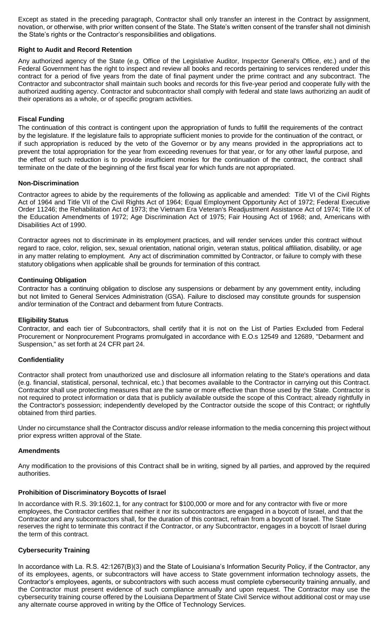Except as stated in the preceding paragraph, Contractor shall only transfer an interest in the Contract by assignment, novation, or otherwise, with prior written consent of the State. The State's written consent of the transfer shall not diminish the State's rights or the Contractor's responsibilities and obligations.

## **Right to Audit and Record Retention**

Any authorized agency of the State (e.g. Office of the Legislative Auditor, Inspector General's Office, etc.) and of the Federal Government has the right to inspect and review all books and records pertaining to services rendered under this contract for a period of five years from the date of final payment under the prime contract and any subcontract. The Contractor and subcontractor shall maintain such books and records for this five-year period and cooperate fully with the authorized auditing agency. Contractor and subcontractor shall comply with federal and state laws authorizing an audit of their operations as a whole, or of specific program activities.

## **Fiscal Funding**

The continuation of this contract is contingent upon the appropriation of funds to fulfill the requirements of the contract by the legislature. If the legislature fails to appropriate sufficient monies to provide for the continuation of the contract, or if such appropriation is reduced by the veto of the Governor or by any means provided in the appropriations act to prevent the total appropriation for the year from exceeding revenues for that year, or for any other lawful purpose, and the effect of such reduction is to provide insufficient monies for the continuation of the contract, the contract shall terminate on the date of the beginning of the first fiscal year for which funds are not appropriated.

## **Non-Discrimination**

Contractor agrees to abide by the requirements of the following as applicable and amended: Title VI of the Civil Rights Act of 1964 and Title VII of the Civil Rights Act of 1964; Equal Employment Opportunity Act of 1972; Federal Executive Order 11246; the Rehabilitation Act of 1973; the Vietnam Era Veteran's Readjustment Assistance Act of 1974; Title IX of the Education Amendments of 1972; Age Discrimination Act of 1975; Fair Housing Act of 1968; and, Americans with Disabilities Act of 1990.

Contractor agrees not to discriminate in its employment practices, and will render services under this contract without regard to race, color, religion, sex, sexual orientation, national origin, veteran status, political affiliation, disability, or age in any matter relating to employment. Any act of discrimination committed by Contractor, or failure to comply with these statutory obligations when applicable shall be grounds for termination of this contract.

## **Continuing Obligation**

Contractor has a continuing obligation to disclose any suspensions or debarment by any government entity, including but not limited to General Services Administration (GSA). Failure to disclosed may constitute grounds for suspension and/or termination of the Contract and debarment from future Contracts.

## **Eligibility Status**

Contractor, and each tier of Subcontractors, shall certify that it is not on the List of Parties Excluded from Federal Procurement or Nonprocurement Programs promulgated in accordance with E.O.s 12549 and 12689, "Debarment and Suspension," as set forth at 24 CFR part 24.

## **Confidentiality**

Contractor shall protect from unauthorized use and disclosure all information relating to the State's operations and data (e.g. financial, statistical, personal, technical, etc.) that becomes available to the Contractor in carrying out this Contract. Contractor shall use protecting measures that are the same or more effective than those used by the State. Contractor is not required to protect information or data that is publicly available outside the scope of this Contract; already rightfully in the Contractor's possession; independently developed by the Contractor outside the scope of this Contract; or rightfully obtained from third parties.

Under no circumstance shall the Contractor discuss and/or release information to the media concerning this project without prior express written approval of the State.

## **Amendments**

Any modification to the provisions of this Contract shall be in writing, signed by all parties, and approved by the required authorities.

## **Prohibition of Discriminatory Boycotts of Israel**

In accordance with R.S. 39:1602.1, for any contract for \$100,000 or more and for any contractor with five or more employees, the Contractor certifies that neither it nor its subcontractors are engaged in a boycott of Israel, and that the Contractor and any subcontractors shall, for the duration of this contract, refrain from a boycott of Israel. The State reserves the right to terminate this contract if the Contractor, or any Subcontractor, engages in a boycott of Israel during the term of this contract.

# **Cybersecurity Training**

In accordance with La. R.S. 42:1267(B)(3) and the State of Louisiana's Information Security Policy, if the Contractor, any of its employees, agents, or subcontractors will have access to State government information technology assets, the Contractor's employees, agents, or subcontractors with such access must complete cybersecurity training annually, and the Contractor must present evidence of such compliance annually and upon request. The Contractor may use the cybersecurity training course offered by the Louisiana Department of State Civil Service without additional cost or may use any alternate course approved in writing by the Office of Technology Services.